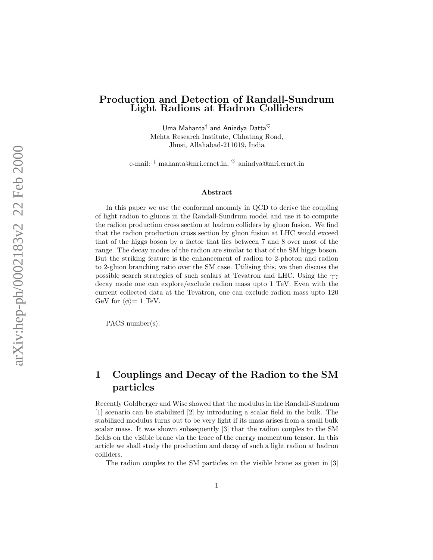#### Production and Detection of Randall-Sundrum Light Radions at Hadron Colliders

Uma Mahanta $^\dagger$  and Anindya Datta $^\heartsuit$ Mehta Research Institute, Chhatnag Road, Jhusi, Allahabad-211019, India

e-mail:  $\dagger$  mahanta@mri.ernet.in,  $\heartsuit$  anindya@mri.ernet.in

#### Abstract

In this paper we use the conformal anomaly in QCD to derive the coupling of light radion to gluons in the Randall-Sundrum model and use it to compute the radion production cross section at hadron colliders by gluon fusion. We find that the radion production cross section by gluon fusion at LHC would exceed that of the higgs boson by a factor that lies between 7 and 8 over most of the range. The decay modes of the radion are similar to that of the SM higgs boson. But the striking feature is the enhancement of radion to 2-photon and radion to 2-gluon branching ratio over the SM case. Utilising this, we then discuss the possible search strategies of such scalars at Tevatron and LHC. Using the  $\gamma\gamma$ decay mode one can explore/exclude radion mass upto 1 TeV. Even with the current collected data at the Tevatron, one can exclude radion mass upto 120 GeV for  $\langle \phi \rangle = 1$  TeV.

PACS number(s):

# 1 Couplings and Decay of the Radion to the SM particles

Recently Goldberger and Wise showed that the modulus in the Randall-Sundrum [1] scenario can be stabilized [2] by introducing a scalar field in the bulk. The stabilized modulus turns out to be very light if its mass arises from a small bulk scalar mass. It was shown subsequently [3] that the radion couples to the SM fields on the visible brane via the trace of the energy momentum tensor. In this article we shall study the production and decay of such a light radion at hadron colliders.

The radion couples to the SM particles on the visible brane as given in [3]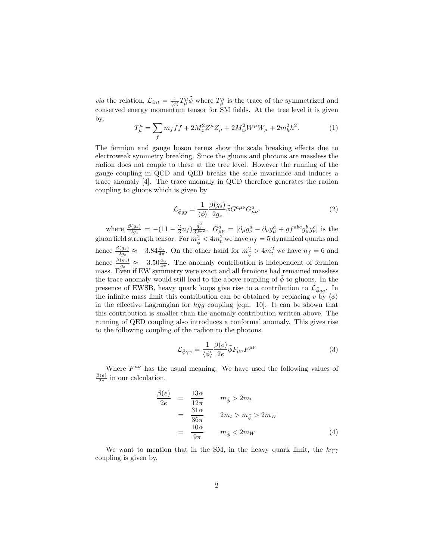*via* the relation,  $\mathcal{L}_{int} = \frac{1}{\langle \phi \rangle} T^{\mu}_{\mu} \tilde{\phi}$  where  $T^{\mu}_{\mu}$  is the trace of the symmetrized and conserved energy momentum tensor for SM fields. At the tree level it is given by,

$$
T^{\mu}_{\mu} = \sum_{f} m_{f} \bar{f} f + 2M_{z}^{2} Z^{\mu} Z_{\mu} + 2M_{w}^{2} W^{\mu} W_{\mu} + 2m_{h}^{2} h^{2}.
$$
 (1)

The fermion and gauge boson terms show the scale breaking effects due to electroweak symmetry breaking. Since the gluons and photons are massless the radion does not couple to these at the tree level. However the running of the gauge coupling in QCD and QED breaks the scale invariance and induces a trace anomaly [4]. The trace anomaly in QCD therefore generates the radion coupling to gluons which is given by

$$
\mathcal{L}_{\tilde{\phi}gg} = \frac{1}{\langle \phi \rangle} \frac{\beta(g_s)}{2g_s} \tilde{\phi} G^{a\mu\nu} G^a_{\mu\nu}.
$$
 (2)

where  $\frac{\beta(g_s)}{2g_s} = -(11 - \frac{2}{3}n_f)\frac{g_s^2}{32\pi^2}$ .  $G^a_{\mu\nu} = [\partial_\mu g_\nu^a - \partial_\nu g_\mu^a + gf^{abc}g_\mu^b g_\nu^c]$  is the gluon field strength tensor. For  $m_{\tilde{\phi}}^2 < 4 m_t^2$  we have  $n_f = 5$  dynamical quarks and hence  $\frac{\beta(g_s)}{2g_s} \approx -3.84 \frac{\alpha_s}{4\pi}$ . On the other hand for  $m_{\tilde{\phi}}^2 > 4m_t^2$  we have  $n_f = 6$  and hence  $\frac{\beta(g_s)}{g_s} \approx -3.50 \frac{\alpha_s}{4\pi}$ . The anomaly contribution is independent of fermion mass. Even if EW symmetry were exact and all fermions had remained massless the trace anomaly would still lead to the above coupling of  $\phi$  to gluons. In the presence of EWSB, heavy quark loops give rise to a contribution to  $\mathcal{L}_{\phi gg}$ . In the infinite mass limit this contribution can be obtained by replacing v by  $\langle \phi \rangle$ in the effective Lagrangian for hgg coupling [eqn. 10]. It can be shown that this contribution is smaller than the anomaly contribution written above. The running of QED coupling also introduces a conformal anomaly. This gives rise to the following coupling of the radion to the photons.

$$
\mathcal{L}_{\tilde{\phi}\gamma\gamma} = \frac{1}{\langle \phi \rangle} \frac{\beta(e)}{2e} \tilde{\phi} F_{\mu\nu} F^{\mu\nu} \tag{3}
$$

Where  $F^{\mu\nu}$  has the usual meaning. We have used the following values of  $\beta(e)$  $\frac{f(e)}{2e}$  in our calculation.

$$
\frac{\beta(e)}{2e} = \frac{13\alpha}{12\pi} \qquad m_{\tilde{\phi}} > 2m_t
$$
  
\n
$$
= \frac{31\alpha}{36\pi} \qquad 2m_t > m_{\tilde{\phi}} > 2m_W
$$
  
\n
$$
= \frac{10\alpha}{9\pi} \qquad m_{\tilde{\phi}} < 2m_W
$$
 (4)

We want to mention that in the SM, in the heavy quark limit, the  $h\gamma\gamma$ coupling is given by,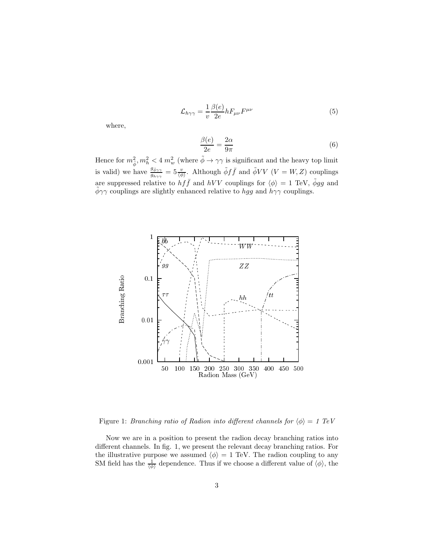$$
\mathcal{L}_{h\gamma\gamma} = \frac{1}{v} \frac{\beta(e)}{2e} h F_{\mu\nu} F^{\mu\nu} \tag{5}
$$

where,

$$
\frac{\beta(e)}{2e} = \frac{2\alpha}{9\pi} \tag{6}
$$

Hence for  $m_{\tilde{\phi}}^2, m_h^2 < 4$   $m_w^2$  (where  $\tilde{\phi} \to \gamma \gamma$  is significant and the heavy top limit is valid) we have  $\frac{g_{\phi\gamma\gamma}}{g_{h\gamma\gamma}}=5\frac{v}{\langle\phi\rangle}$ . Although  $\tilde{\phi}f\bar{f}$  and  $\tilde{\phi}VV$   $(V=W,Z)$  couplings are suppressed relative to  $hf\bar{f}$  and  $hVV$  couplings for  $\langle \phi \rangle = 1$  TeV,  $\tilde{\phi}gg$  and  $\tilde{\phi}\gamma\gamma$  couplings are slightly enhanced relative to hgg and  $h\gamma\gamma$  couplings.



Figure 1: Branching ratio of Radion into different channels for  $\langle \phi \rangle = 1$  TeV

Now we are in a position to present the radion decay branching ratios into different channels. In fig. 1, we present the relevant decay branching ratios. For the illustrative purpose we assumed  $\langle \phi \rangle = 1$  TeV. The radion coupling to any SM field has the  $\frac{1}{\langle \phi \rangle}$  dependence. Thus if we choose a different value of  $\langle \phi \rangle$ , the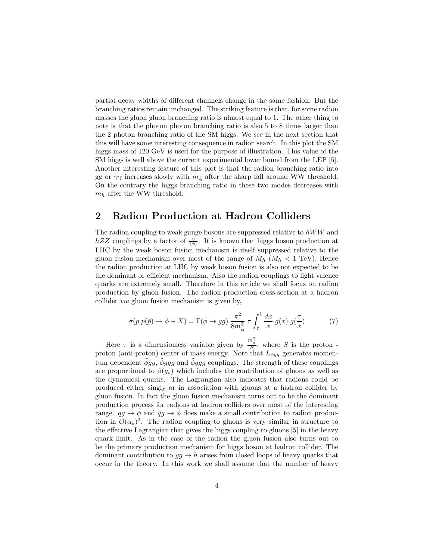partial decay widths of different channels change in the same fashion. But the branching ratios remain unchanged. The striking feature is that, for some radion masses the gluon gluon branching ratio is almost equal to 1. The other thing to note is that the photon photon branching ratio is also 5 to 8 times larger than the 2 photon branching ratio of the SM higgs. We see in the next section that this will have some interesting consequence in radion search. In this plot the SM higgs mass of 120 GeV is used for the purpose of illustration. This value of the SM higgs is well above the current experimental lower bound from the LEP [5]. Another interesting feature of this plot is that the radion branching ratio into gg or  $\gamma\gamma$  increases slowly with  $m_{\tilde{\phi}}$  after the sharp fall around WW threshold. On the contrary the higgs branching ratio in these two modes decreases with  $m_h$  after the WW threshold.

## 2 Radion Production at Hadron Colliders

The radion coupling to weak gauge bosons are suppressed relative to  $hWW$  and  $hZZ$  couplings by a factor of  $\frac{v}{\langle \phi \rangle}$ . It is known that higgs boson production at LHC by the weak boson fusion mechanism is itself suppressed relative to the gluon fusion mechanism over most of the range of  $M_h$  ( $M_h$  < 1 TeV). Hence the radion production at LHC by weak boson fusion is also not expected to be the dominant or efficient mechanism. Also the radion couplings to light valence quarks are extremely small. Therefore in this article we shall focus on radion production by gluon fusion. The radion production cross-section at a hadron collider via gluon fusion mechanism is given by,

$$
\sigma(p \; p(\bar{p}) \to \tilde{\phi} + X) = \Gamma(\tilde{\phi} \to gg) \; \frac{\pi^2}{8m_{\tilde{\phi}}^3} \; \tau \int_{\tau}^1 \frac{dx}{x} \; g(x) \; g(\frac{\tau}{x}) \tag{7}
$$

Here  $\tau$  is a dimensionless variable given by  $\frac{m_{\phi}^2}{S}$ , where S is the proton proton (anti-proton) center of mass energy. Note that  $L_{\phi gg}$  generates momentum dependent  $\phi$ gg,  $\phi$ ggg and  $\phi$ ggg couplings. The strength of these couplings are proportional to  $\beta(g_s)$  which includes the contribution of gluons as well as the dynamical quarks. The Lagrangian also indicates that radions could be produced either singly or in association with gluons at a hadron collider by gluon fusion. In fact the gluon fusion mechanism turns out to be the dominant production process for radions at hadron colliders over most of the interesting range.  $qg \rightarrow \phi$  and  $\bar{q}g \rightarrow \phi$  does make a small contribution to radion production in  $O(\alpha_s)^3$ . The radion coupling to gluons is very similar in structure to the effective Lagrangian that gives the higgs coupling to gluons [5] in the heavy quark limit. As in the case of the radion the gluon fusion also turns out to be the primary production mechanism for higgs boson at hadron collider. The dominant contribution to  $gg \to h$  arises from closed loops of heavy quarks that occur in the theory. In this work we shall assume that the number of heavy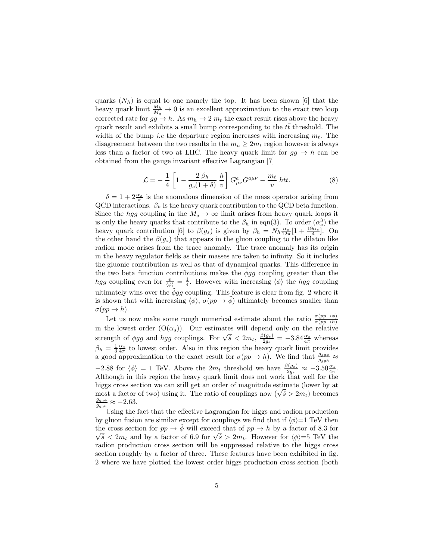quarks  $(N_h)$  is equal to one namely the top. It has been shown [6] that the heavy quark limit  $\frac{M_h}{M_q} \to 0$  is an excellent approximation to the exact two loop corrected rate for  $gg \to h$ . As  $m_h \to 2 m_t$  the exact result rises above the heavy quark result and exhibits a small bump corresponding to the  $t\bar{t}$  threshold. The width of the bump *i.e* the departure region increases with increasing  $m_t$ . The disagreement between the two results in the  $m_h \geq 2m_t$  region however is always less than a factor of two at LHC. The heavy quark limit for  $gg \to h$  can be obtained from the gauge invariant effective Lagrangian [7]

$$
\mathcal{L} = -\frac{1}{4} \left[ 1 - \frac{2 \beta_h}{g_s (1+\delta)} \frac{h}{v} \right] G^a_{\mu\nu} G^{a\mu\nu} - \frac{m_t}{v} h \bar{t} t. \tag{8}
$$

 $\delta = 1 + 2 \frac{\alpha_s}{\pi}$  is the anomalous dimension of the mass operator arising from QCD interactions.  $\beta_h$  is the heavy quark contribution to the QCD beta function. Since the hgg coupling in the  $M_q \to \infty$  limit arises from heavy quark loops it is only the heavy quarks that contribute to the  $\beta_h$  in eqn(3). To order  $(\alpha_s^3)$  the heavy quark contribution [6] to  $\beta(g_s)$  is given by  $\beta_h = N_h \frac{\alpha_s}{12\pi} [1 + \frac{19\alpha_s}{4}]$ . On the other hand the  $\beta(g_s)$  that appears in the gluon coupling to the dilaton like radion mode arises from the trace anomaly. The trace anomaly has its origin in the heavy regulator fields as their masses are taken to infinity. So it includes the gluonic contribution as well as that of dynamical quarks. This difference in the two beta function contributions makes the  $\phi$ gg coupling greater than the *hgg* coupling even for  $\frac{v}{\langle \phi \rangle} = \frac{1}{4}$ . However with increasing  $\langle \phi \rangle$  the *hgg* coupling ultimately wins over the  $\phi gg$  coupling. This feature is clear from fig. 2 where it is shown that with increasing  $\langle \phi \rangle$ ,  $\sigma(pp \to \phi)$  ultimately becomes smaller than  $\sigma(pp\to h)$ .

Let us now make some rough numerical estimate about the ratio  $\frac{\sigma(pp\to\phi)}{\sigma(pp\to h)}$ in the lowest order  $(O(\alpha_s))$ . Our estimates will depend only on the relative strength of  $\phi gg$  and  $\overline{h}gg$  couplings. For  $\sqrt{\hat{s}} < 2m_t$ ,  $\frac{\beta(g_s)}{2g_s}$  $\frac{\partial (g_s)}{\partial g_s} = -3.84 \frac{\alpha_s}{4\pi}$  whereas  $\beta_h = \frac{1}{3} \frac{\alpha_s}{4\pi}$  to lowest order. Also in this region the heavy quark limit provides a good approximation to the exact result for  $\sigma(pp \to h)$ . We find that  $\frac{g_{gg\phi}}{g_{ggh}} \approx$  $-2.88$  for  $\langle \phi \rangle = 1$  TeV. Above the  $2m_t$  threshold we have  $\frac{\beta(g_s)}{2g_s} \approx -3.50 \frac{\alpha_s}{4\pi}$ . Although in this region the heavy quark limit does not work that well for the higgs cross section we can still get an order of magnitude estimate (lower by at most a factor of two) using it. The ratio of couplings now  $(\sqrt{s} > 2m_t)$  becomes  $g_{gg\phi}$  $\frac{g_{gg\phi}}{g_{ggh}} \approx -2.63.$ 

Using the fact that the effective Lagrangian for higgs and radion production by gluon fusion are similar except for couplings we find that if  $\langle \phi \rangle = 1$  TeV then the cross section for  $pp \to \tilde{\phi}$  will exceed that of  $pp \to h$  by a factor of 8.3 for  $\sqrt{\hat{s}}$  < 2m<sub>t</sub> and by a factor of 6.9 for  $\sqrt{\hat{s}}$  > 2m<sub>t</sub>. However for  $\langle \phi \rangle = 5$  TeV the radion production cross section will be suppressed relative to the higgs cross section roughly by a factor of three. These features have been exhibited in fig. 2 where we have plotted the lowest order higgs production cross section (both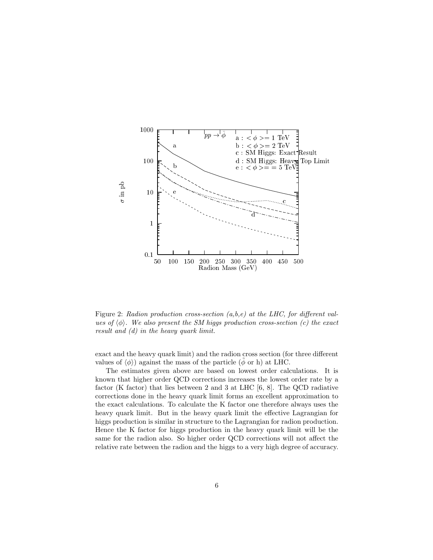

Figure 2: Radion production cross-section  $(a,b,e)$  at the LHC, for different values of  $\langle \phi \rangle$ . We also present the SM higgs production cross-section (c) the exact result and (d) in the heavy quark limit.

exact and the heavy quark limit) and the radion cross section (for three different values of  $\langle \phi \rangle$  against the mass of the particle ( $\phi$  or h) at LHC.

The estimates given above are based on lowest order calculations. It is known that higher order QCD corrections increases the lowest order rate by a factor (K factor) that lies between 2 and 3 at LHC  $[6, 8]$ . The QCD radiative corrections done in the heavy quark limit forms an excellent approximation to the exact calculations. To calculate the K factor one therefore always uses the heavy quark limit. But in the heavy quark limit the effective Lagrangian for higgs production is similar in structure to the Lagrangian for radion production. Hence the K factor for higgs production in the heavy quark limit will be the same for the radion also. So higher order QCD corrections will not affect the relative rate between the radion and the higgs to a very high degree of accuracy.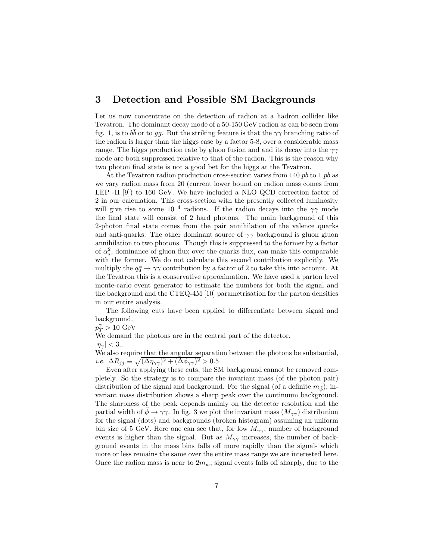# 3 Detection and Possible SM Backgrounds

Let us now concentrate on the detection of radion at a hadron collider like Tevatron. The dominant decay mode of a 50-150 GeV radion as can be seen from fig. 1, is to  $b\bar{b}$  or to gg. But the striking feature is that the  $\gamma\gamma$  branching ratio of the radion is larger than the higgs case by a factor 5-8, over a considerable mass range. The higgs production rate by gluon fusion and and its decay into the  $\gamma\gamma$ mode are both suppressed relative to that of the radion. This is the reason why two photon final state is not a good bet for the higgs at the Tevatron.

At the Tevatron radion production cross-section varies from 140  $pb$  to 1  $pb$  as we vary radion mass from 20 (current lower bound on radion mass comes from LEP -II [9]) to 160 GeV. We have included a NLO QCD correction factor of 2 in our calculation. This cross-section with the presently collected luminosity will give rise to some 10<sup>4</sup> radions. If the radion decays into the  $\gamma\gamma$  mode the final state will consist of 2 hard photons. The main background of this 2-photon final state comes from the pair annihilation of the valence quarks and anti-quarks. The other dominant source of  $\gamma\gamma$  background is gluon gluon annihilation to two photons. Though this is suppressed to the former by a factor of  $\alpha_s^2$ , dominance of gluon flux over the quarks flux, can make this comparable with the former. We do not calculate this second contribution explicitly. We multiply the  $q\bar{q} \rightarrow \gamma\gamma$  contribution by a factor of 2 to take this into account. At the Tevatron this is a conservative approximation. We have used a parton level monte-carlo event generator to estimate the numbers for both the signal and the background and the CTEQ-4M [10] parametrisation for the parton densities in our entire analysis.

The following cuts have been applied to differentiate between signal and background.

 $p_T^{\gamma} > 10 \text{ GeV}$ 

We demand the photons are in the central part of the detector.

 $|\eta_{\gamma}| < 3...$ 

We also require that the angular separation between the photons be substantial, i.e.  $\Delta R_{jj} \equiv \sqrt{(\Delta \eta_{\gamma\gamma})^2 + (\Delta \phi_{\gamma\gamma})^2} > 0.5$ 

Even after applying these cuts, the SM background cannot be removed completely. So the strategy is to compare the invariant mass (of the photon pair) distribution of the signal and background. For the signal (of a definite  $m_{\tilde{\phi}}$ ), invariant mass distribution shows a sharp peak over the continuum background. The sharpness of the peak depends mainly on the detector resolution and the partial width of  $\phi \to \gamma \gamma$ . In fig. 3 we plot the invariant mass  $(M_{\gamma\gamma})$  distribution for the signal (dots) and backgrounds (broken histogram) assuming an uniform bin size of 5 GeV. Here one can see that, for low  $M_{\gamma\gamma}$ , number of background events is higher than the signal. But as  $M_{\gamma\gamma}$  increases, the number of background events in the mass bins falls off more rapidly than the signal- which more or less remains the same over the entire mass range we are interested here. Once the radion mass is near to  $2m_w$ , signal events falls off sharply, due to the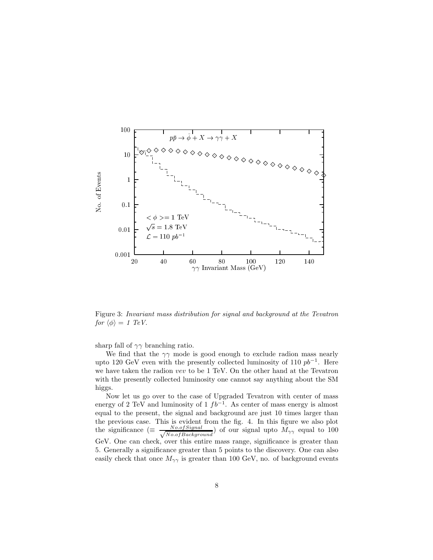

Figure 3: Invariant mass distribution for signal and background at the Tevatron for  $\langle \phi \rangle = 1$  TeV.

sharp fall of  $\gamma\gamma$  branching ratio.

We find that the  $\gamma\gamma$  mode is good enough to exclude radion mass nearly upto 120 GeV even with the presently collected luminosity of 110  $pb^{-1}$ . Here we have taken the radion vev to be 1 TeV. On the other hand at the Tevatron with the presently collected luminosity one cannot say anything about the SM higgs.

Now let us go over to the case of Upgraded Tevatron with center of mass energy of 2 TeV and luminosity of 1  $fb^{-1}$ . As center of mass energy is almost equal to the present, the signal and background are just 10 times larger than the previous case. This is evident from the fig. 4. In this figure we also plot the significance ( $\equiv$ No.ofSignal  $\frac{No.ofSignal}{No.of Background}$ ) of our signal upto  $M_{\gamma\gamma}$  equal to 100 GeV. One can check, over this entire mass range, significance is greater than 5. Generally a significance greater than 5 points to the discovery. One can also easily check that once  $M_{\gamma\gamma}$  is greater than 100 GeV, no. of background events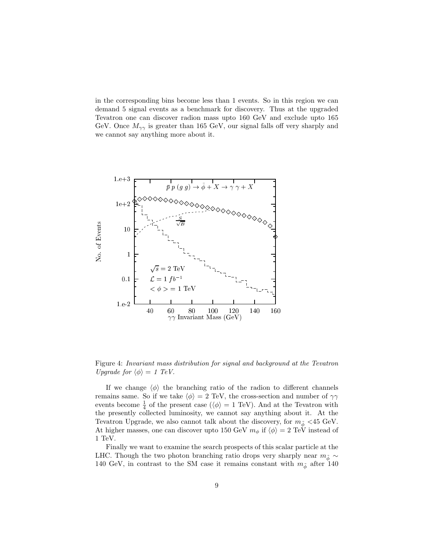in the corresponding bins become less than 1 events. So in this region we can demand 5 signal events as a benchmark for discovery. Thus at the upgraded Tevatron one can discover radion mass upto 160 GeV and exclude upto 165 GeV. Once  $M_{\gamma\gamma}$  is greater than 165 GeV, our signal falls off very sharply and we cannot say anything more about it.



Figure 4: Invariant mass distribution for signal and background at the Tevatron Upgrade for  $\langle \phi \rangle = 1$  TeV.

If we change  $\langle \phi \rangle$  the branching ratio of the radion to different channels remains same. So if we take  $\langle \phi \rangle = 2 \text{ TeV}$ , the cross-section and number of  $\gamma \gamma$ events become  $\frac{1}{4}$  of the present case ( $\langle \phi \rangle = 1$  TeV). And at the Tevatron with the presently collected luminosity, we cannot say anything about it. At the Tevatron Upgrade, we also cannot talk about the discovery, for  $m_{\tilde{\phi}} < 45 \text{ GeV}$ . At higher masses, one can discover upto 150 GeV  $m_{\phi}$  if  $\langle \phi \rangle = 2 \text{ TeV}$  instead of 1 TeV.

Finally we want to examine the search prospects of this scalar particle at the LHC. Though the two photon branching ratio drops very sharply near  $m_{\tilde{\phi}} \sim$ 140 GeV, in contrast to the SM case it remains constant with  $m_{\tilde{\phi}}$  after 140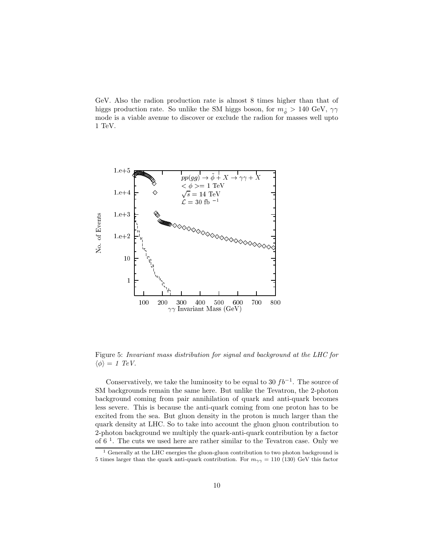GeV. Also the radion production rate is almost 8 times higher than that of higgs production rate. So unlike the SM higgs boson, for  $m_{\tilde{\phi}} > 140 \text{ GeV}, \gamma \gamma$ mode is a viable avenue to discover or exclude the radion for masses well upto 1 TeV.



Figure 5: Invariant mass distribution for signal and background at the LHC for  $\langle \phi \rangle = 1$  TeV.

Conservatively, we take the luminosity to be equal to 30  $fb^{-1}$ . The source of SM backgrounds remain the same here. But unlike the Tevatron, the 2-photon background coming from pair annihilation of quark and anti-quark becomes less severe. This is because the anti-quark coming from one proton has to be excited from the sea. But gluon density in the proton is much larger than the quark density at LHC. So to take into account the gluon gluon contribution to 2-photon background we multiply the quark-anti-quark contribution by a factor of  $6<sup>1</sup>$ . The cuts we used here are rather similar to the Tevatron case. Only we

<sup>&</sup>lt;sup>1</sup> Generally at the LHC energies the gluon-gluon contribution to two photon background is 5 times larger than the quark anti-quark contribution. For  $m_{\gamma\gamma} = 110$  (130) GeV this factor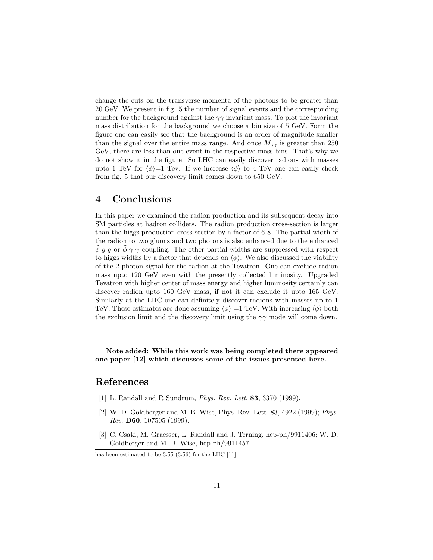change the cuts on the transverse momenta of the photons to be greater than 20 GeV. We present in fig. 5 the number of signal events and the corresponding number for the background against the  $\gamma\gamma$  invariant mass. To plot the invariant mass distribution for the background we choose a bin size of 5 GeV. Form the figure one can easily see that the background is an order of magnitude smaller than the signal over the entire mass range. And once  $M_{\gamma\gamma}$  is greater than 250 GeV, there are less than one event in the respective mass bins. That's why we do not show it in the figure. So LHC can easily discover radions with masses upto 1 TeV for  $\langle \phi \rangle =1$  Tev. If we increase  $\langle \phi \rangle$  to 4 TeV one can easily check from fig. 5 that our discovery limit comes down to 650 GeV.

## 4 Conclusions

In this paper we examined the radion production and its subsequent decay into SM particles at hadron colliders. The radion production cross-section is larger than the higgs production cross-section by a factor of 6-8. The partial width of the radion to two gluons and two photons is also enhanced due to the enhanced  $\phi$  g g or  $\phi \gamma$   $\gamma$  coupling. The other partial widths are suppressed with respect to higgs widths by a factor that depends on  $\langle \phi \rangle$ . We also discussed the viability of the 2-photon signal for the radion at the Tevatron. One can exclude radion mass upto 120 GeV even with the presently collected luminosity. Upgraded Tevatron with higher center of mass energy and higher luminosity certainly can discover radion upto 160 GeV mass, if not it can exclude it upto 165 GeV. Similarly at the LHC one can definitely discover radions with masses up to 1 TeV. These estimates are done assuming  $\langle \phi \rangle =1$  TeV. With increasing  $\langle \phi \rangle$  both the exclusion limit and the discovery limit using the  $\gamma\gamma$  mode will come down.

Note added: While this work was being completed there appeared one paper [12] which discusses some of the issues presented here.

#### References

- [1] L. Randall and R Sundrum, *Phys. Rev. Lett.* **83**, 3370 (1999).
- [2] W. D. Goldberger and M. B. Wise, Phys. Rev. Lett. 83, 4922 (1999); Phys. Rev. D60, 107505 (1999).
- [3] C. Csaki, M. Graesser, L. Randall and J. Terning, hep-ph/9911406; W. D. Goldberger and M. B. Wise, hep-ph/9911457.

has been estimated to be 3.55 (3.56) for the LHC [11].